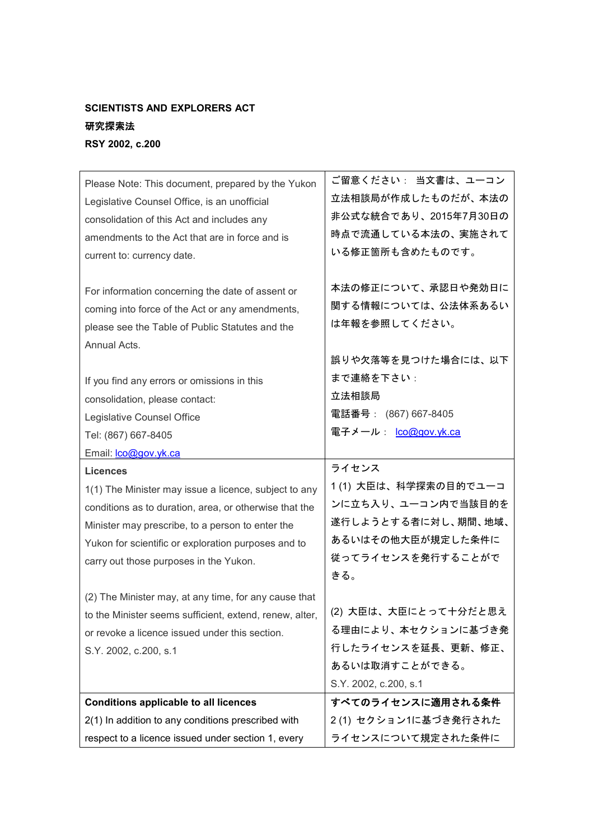## SCIENTISTS AND EXPLORERS ACT

## 研究探索法

RSY 2002, c.200

| Please Note: This document, prepared by the Yukon<br>Legislative Counsel Office, is an unofficial<br>consolidation of this Act and includes any<br>amendments to the Act that are in force and is<br>current to: currency date.                                                         | ご留意ください: 当文書は、ユーコン<br>立法相談局が作成したものだが、本法の<br>非公式な統合であり、2015年7月30日の<br>時点で流通している本法の、実施されて<br>いる修正箇所も含めたものです。                  |
|-----------------------------------------------------------------------------------------------------------------------------------------------------------------------------------------------------------------------------------------------------------------------------------------|-----------------------------------------------------------------------------------------------------------------------------|
| For information concerning the date of assent or<br>coming into force of the Act or any amendments,<br>please see the Table of Public Statutes and the<br>Annual Acts.                                                                                                                  | 本法の修正について、承認日や発効日に<br>関する情報については、公法体系あるい<br>は年報を参照してください。                                                                   |
| If you find any errors or omissions in this<br>consolidation, please contact:<br>Legislative Counsel Office<br>Tel: (867) 667-8405<br>Email: <b>co@gov.yk.ca</b>                                                                                                                        | 誤りや欠落等を見つけた場合には、以下<br>まで連絡を下さい:<br>立法相談局<br>電話番号: (867) 667-8405<br>電子メール: <u>Ico@gov.yk.ca</u>                             |
|                                                                                                                                                                                                                                                                                         |                                                                                                                             |
| <b>Licences</b><br>1(1) The Minister may issue a licence, subject to any<br>conditions as to duration, area, or otherwise that the<br>Minister may prescribe, to a person to enter the<br>Yukon for scientific or exploration purposes and to<br>carry out those purposes in the Yukon. | ライセンス<br>1(1) 大臣は、科学探索の目的でユーコ<br>ンに立ち入り、ユーコン内で当該目的を<br>遂行しようとする者に対し、期間、地域、<br>あるいはその他大臣が規定した条件に<br>従ってライセンスを発行することがで<br>きる。 |
| (2) The Minister may, at any time, for any cause that<br>to the Minister seems sufficient, extend, renew, alter,<br>or revoke a licence issued under this section.<br>S.Y. 2002, c.200, s.1                                                                                             | (2) 大臣は、大臣にとって十分だと思え<br>る理由により、本セクションに基づき発<br>行したライセンスを延長、更新、修正、<br>あるいは取消すことができる。<br>S.Y. 2002, c.200, s.1                 |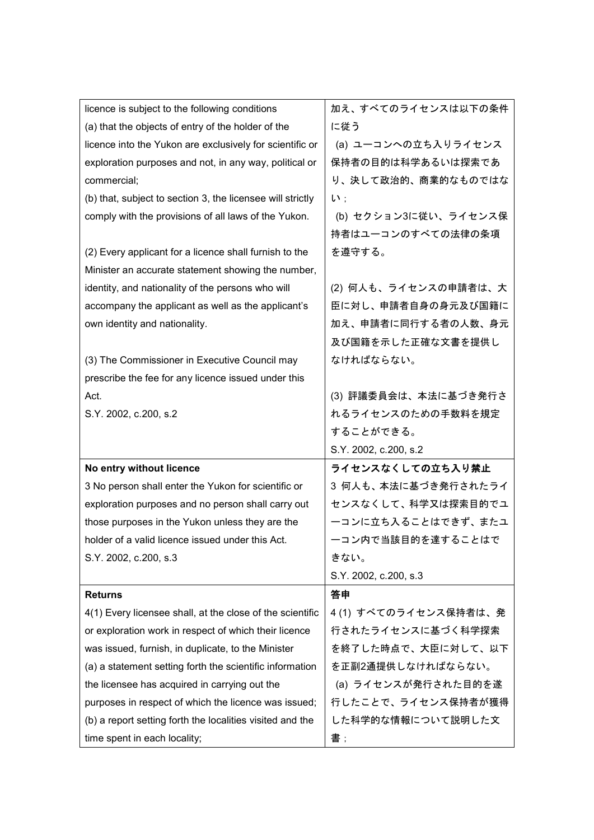| licence is subject to the following conditions             | 加え、すべてのライセンスは以下の条件    |
|------------------------------------------------------------|-----------------------|
| (a) that the objects of entry of the holder of the         | に従う                   |
| licence into the Yukon are exclusively for scientific or   | (a) ユーコンへの立ち入りライセンス   |
| exploration purposes and not, in any way, political or     | 保持者の目的は科学あるいは探索であ     |
| commercial;                                                | り、決して政治的、商業的なものではな    |
| (b) that, subject to section 3, the licensee will strictly | $\mathsf{L}$ :        |
| comply with the provisions of all laws of the Yukon.       | (b) セクション3に従い、ライセンス保  |
|                                                            | 持者はユーコンのすべての法律の条項     |
| (2) Every applicant for a licence shall furnish to the     | を遵守する。                |
| Minister an accurate statement showing the number,         |                       |
| identity, and nationality of the persons who will          | (2) 何人も、ライセンスの申請者は、大  |
| accompany the applicant as well as the applicant's         | 臣に対し、申請者自身の身元及び国籍に    |
| own identity and nationality.                              | 加え、申請者に同行する者の人数、身元    |
|                                                            | 及び国籍を示した正確な文書を提供し     |
| (3) The Commissioner in Executive Council may              | なければならない。             |
| prescribe the fee for any licence issued under this        |                       |
| Act.                                                       | (3) 評議委員会は、本法に基づき発行さ  |
| S.Y. 2002, c.200, s.2                                      | れるライセンスのための手数料を規定     |
|                                                            | することができる。             |
|                                                            | S.Y. 2002, c.200, s.2 |
| No entry without licence                                   | ライセンスなくしての立ち入り禁止      |
| 3 No person shall enter the Yukon for scientific or        | 3 何人も、本法に基づき発行されたライ   |
| exploration purposes and no person shall carry out         | センスなくして、科学又は探索目的でユ    |
| those purposes in the Yukon unless they are the            | ーコンに立ち入ることはできず、またユ    |
| holder of a valid licence issued under this Act.           | 一コン内で当該目的を達することはで     |
| S.Y. 2002, c.200, s.3                                      | きない。                  |
|                                                            | S.Y. 2002, c.200, s.3 |
| <b>Returns</b>                                             | 答申                    |
| 4(1) Every licensee shall, at the close of the scientific  | 4 (1) すべてのライセンス保持者は、発 |
| or exploration work in respect of which their licence      | 行されたライセンスに基づく科学探索     |
| was issued, furnish, in duplicate, to the Minister         | を終了した時点で、大臣に対して、以下    |
| (a) a statement setting forth the scientific information   | を正副2通提供しなければならない。     |
| the licensee has acquired in carrying out the              | (a) ライセンスが発行された目的を遂   |
| purposes in respect of which the licence was issued;       | 行したことで、ライセンス保持者が獲得    |
| (b) a report setting forth the localities visited and the  | した科学的な情報について説明した文     |
| time spent in each locality;                               | 書 ;                   |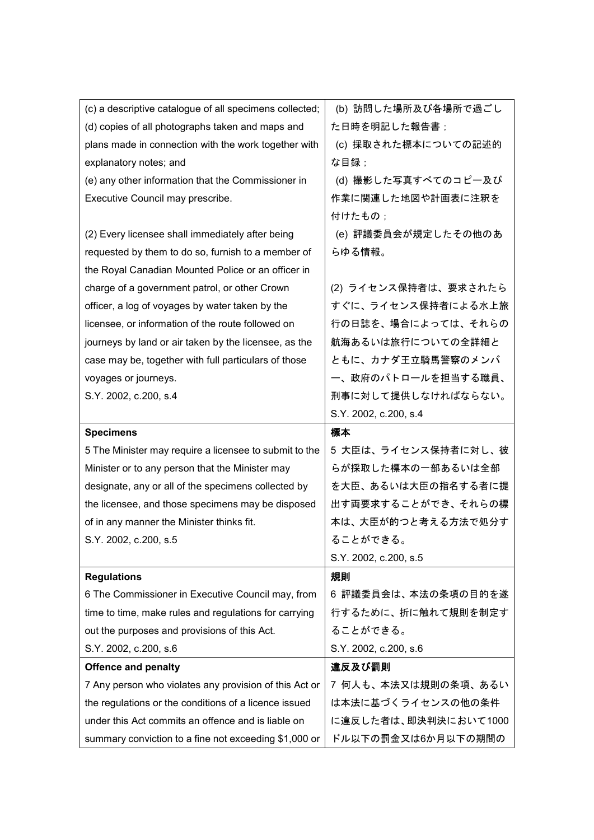| (c) a descriptive catalogue of all specimens collected; | (b) 訪問した場所及び各場所で過ごし   |
|---------------------------------------------------------|-----------------------|
| (d) copies of all photographs taken and maps and        | た日時を明記した報告書;          |
| plans made in connection with the work together with    | (c) 採取された標本についての記述的   |
| explanatory notes; and                                  | な目録 ;                 |
| (e) any other information that the Commissioner in      | (d) 撮影した写真すべてのコピー及び   |
| Executive Council may prescribe.                        | 作業に関連した地図や計画表に注釈を     |
|                                                         | 付けたもの:                |
| (2) Every licensee shall immediately after being        | (e) 評議委員会が規定したその他のあ   |
| requested by them to do so, furnish to a member of      | らゆる情報。                |
| the Royal Canadian Mounted Police or an officer in      |                       |
| charge of a government patrol, or other Crown           | (2) ライセンス保持者は、要求されたら  |
| officer, a log of voyages by water taken by the         | すぐに、ライセンス保持者による水上旅    |
| licensee, or information of the route followed on       | 行の日誌を、場合によっては、それらの    |
| journeys by land or air taken by the licensee, as the   | 航海あるいは旅行についての全詳細と     |
| case may be, together with full particulars of those    | ともに、カナダ王立騎馬警察のメンバ     |
| voyages or journeys.                                    | 一、政府のパトロールを担当する職員、    |
| S.Y. 2002, c.200, s.4                                   | 刑事に対して提供しなければならない。    |
|                                                         | S.Y. 2002, c.200, s.4 |
|                                                         |                       |
| <b>Specimens</b>                                        | 標本                    |
| 5 The Minister may require a licensee to submit to the  | 5 大臣は、ライセンス保持者に対し、彼   |
| Minister or to any person that the Minister may         | らが採取した標本の一部あるいは全部     |
| designate, any or all of the specimens collected by     | を大臣、あるいは大臣の指名する者に提    |
| the licensee, and those specimens may be disposed       | 出す両要求することができ、それらの標    |
| of in any manner the Minister thinks fit.               | 本は、大臣が的つと考える方法で処分す    |
| S.Y. 2002, c.200, s.5                                   | ることができる。              |
|                                                         | S.Y. 2002, c.200, s.5 |
| <b>Regulations</b>                                      | 規則                    |
| 6 The Commissioner in Executive Council may, from       | 6 評議委員会は、本法の条項の目的を遂   |
| time to time, make rules and regulations for carrying   | 行するために、折に触れて規則を制定す    |
| out the purposes and provisions of this Act.            | ることができる。              |
| S.Y. 2002, c.200, s.6                                   | S.Y. 2002, c.200, s.6 |
| <b>Offence and penalty</b>                              | 違反及び罰則                |
| 7 Any person who violates any provision of this Act or  | 7 何人も、本法又は規則の条項、あるい   |
| the regulations or the conditions of a licence issued   | は本法に基づくライセンスの他の条件     |
| under this Act commits an offence and is liable on      | に違反した者は、即決判決において1000  |